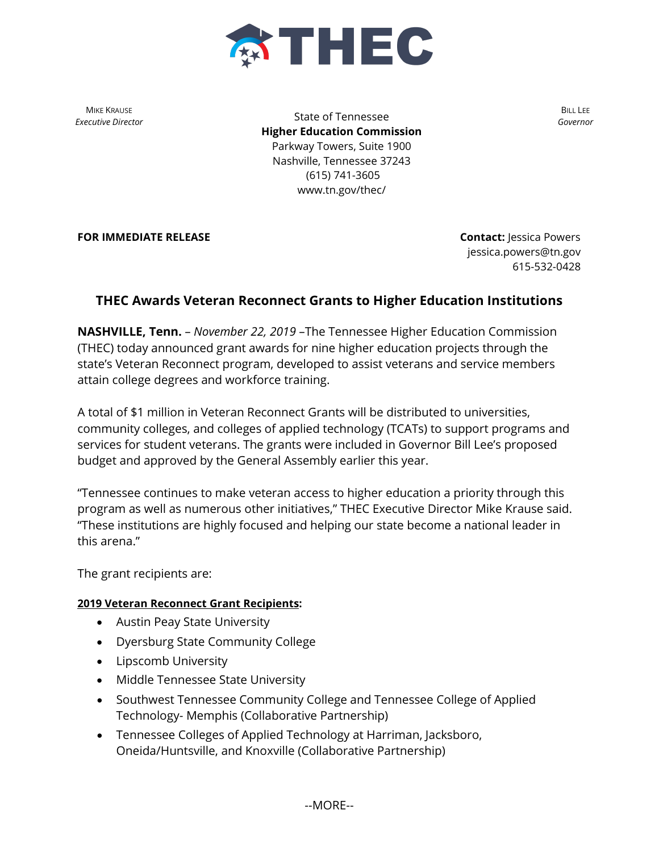

**MIKE KRAUSE** *Executive Director*

*Governor* State of Tennessee **Higher Education Commission** Parkway Towers, Suite 1900 Nashville, Tennessee 37243 (615) 741-3605 www.tn.gov/thec/

**FOR IMMEDIATE RELEASE CONTACT: Jessica Powers** 

 jessica.powers@tn.gov 615-532-0428

## **THEC Awards Veteran Reconnect Grants to Higher Education Institutions**

**NASHVILLE, Tenn.** – *November 22, 2019* –The Tennessee Higher Education Commission (THEC) today announced grant awards for nine higher education projects through the state's Veteran Reconnect program, developed to assist veterans and service members attain college degrees and workforce training.

A total of \$1 million in Veteran Reconnect Grants will be distributed to universities, community colleges, and colleges of applied technology (TCATs) to support programs and services for student veterans. The grants were included in Governor Bill Lee's proposed budget and approved by the General Assembly earlier this year.

"Tennessee continues to make veteran access to higher education a priority through this program as well as numerous other initiatives," THEC Executive Director Mike Krause said. "These institutions are highly focused and helping our state become a national leader in this arena."

The grant recipients are:

## **2019 Veteran Reconnect Grant Recipients:**

- Austin Peay State University
- Dyersburg State Community College
- Lipscomb University
- Middle Tennessee State University
- Southwest Tennessee Community College and Tennessee College of Applied Technology- Memphis (Collaborative Partnership)
- Tennessee Colleges of Applied Technology at Harriman, Jacksboro, Oneida/Huntsville, and Knoxville (Collaborative Partnership)